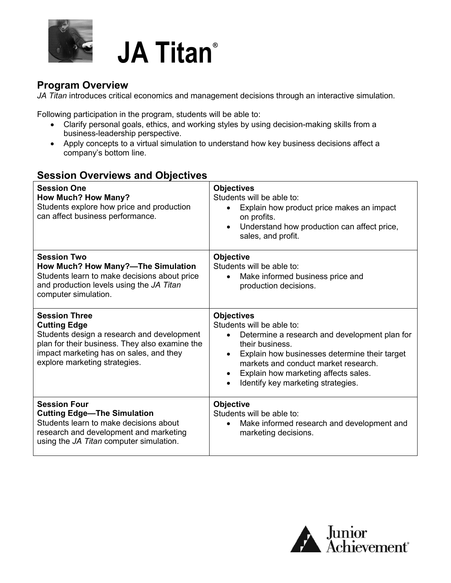

# **JA Titan®**

#### **Program Overview**

*JA Titan* introduces critical economics and management decisions through an interactive simulation.

Following participation in the program, students will be able to:

- Clarify personal goals, ethics, and working styles by using decision-making skills from a business-leadership perspective.
- Apply concepts to a virtual simulation to understand how key business decisions affect a company's bottom line.

#### **Session Overviews and Objectives**

| <b>Session One</b><br><b>How Much? How Many?</b><br>Students explore how price and production<br>can affect business performance.                                                                                       | <b>Objectives</b><br>Students will be able to:<br>Explain how product price makes an impact<br>$\bullet$<br>on profits.<br>Understand how production can affect price,<br>$\bullet$<br>sales, and profit.                                                                                                                                     |
|-------------------------------------------------------------------------------------------------------------------------------------------------------------------------------------------------------------------------|-----------------------------------------------------------------------------------------------------------------------------------------------------------------------------------------------------------------------------------------------------------------------------------------------------------------------------------------------|
| <b>Session Two</b><br>How Much? How Many?-The Simulation<br>Students learn to make decisions about price<br>and production levels using the JA Titan<br>computer simulation.                                            | <b>Objective</b><br>Students will be able to:<br>Make informed business price and<br>production decisions.                                                                                                                                                                                                                                    |
| <b>Session Three</b><br><b>Cutting Edge</b><br>Students design a research and development<br>plan for their business. They also examine the<br>impact marketing has on sales, and they<br>explore marketing strategies. | <b>Objectives</b><br>Students will be able to:<br>Determine a research and development plan for<br>$\bullet$<br>their business.<br>Explain how businesses determine their target<br>$\bullet$<br>markets and conduct market research.<br>Explain how marketing affects sales.<br>$\bullet$<br>Identify key marketing strategies.<br>$\bullet$ |
| <b>Session Four</b><br><b>Cutting Edge-The Simulation</b><br>Students learn to make decisions about<br>research and development and marketing<br>using the JA Titan computer simulation.                                | <b>Objective</b><br>Students will be able to:<br>Make informed research and development and<br>$\bullet$<br>marketing decisions.                                                                                                                                                                                                              |